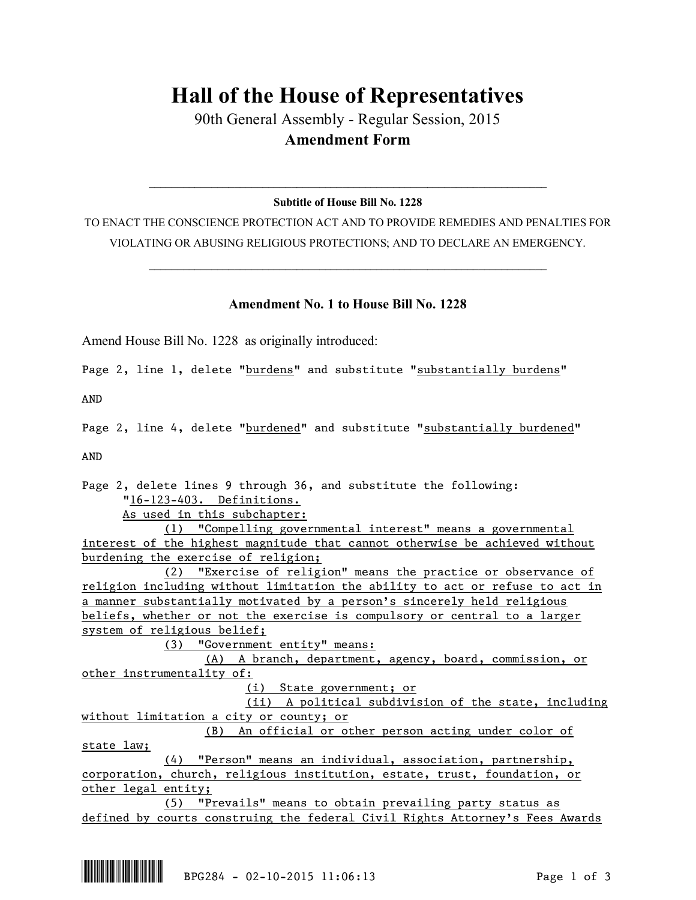## **Hall of the House of Representatives**

90th General Assembly - Regular Session, 2015 **Amendment Form**

## $\mathcal{L}_\text{max}$  and  $\mathcal{L}_\text{max}$  and  $\mathcal{L}_\text{max}$  and  $\mathcal{L}_\text{max}$  and  $\mathcal{L}_\text{max}$  and  $\mathcal{L}_\text{max}$ **Subtitle of House Bill No. 1228**

TO ENACT THE CONSCIENCE PROTECTION ACT AND TO PROVIDE REMEDIES AND PENALTIES FOR VIOLATING OR ABUSING RELIGIOUS PROTECTIONS; AND TO DECLARE AN EMERGENCY.

 $\mathcal{L}_\text{max}$  and  $\mathcal{L}_\text{max}$  and  $\mathcal{L}_\text{max}$  and  $\mathcal{L}_\text{max}$  and  $\mathcal{L}_\text{max}$  and  $\mathcal{L}_\text{max}$ 

## **Amendment No. 1 to House Bill No. 1228**

Amend House Bill No. 1228 as originally introduced:

Page 2, line 1, delete "burdens" and substitute "substantially burdens"

AND

Page 2, line 4, delete "burdened" and substitute "substantially burdened"

AND

Page 2, delete lines 9 through 36, and substitute the following: "16-123-403. Definitions.

As used in this subchapter:

(1) "Compelling governmental interest" means a governmental interest of the highest magnitude that cannot otherwise be achieved without burdening the exercise of religion;

(2) "Exercise of religion" means the practice or observance of religion including without limitation the ability to act or refuse to act in a manner substantially motivated by a person's sincerely held religious beliefs, whether or not the exercise is compulsory or central to a larger system of religious belief;

(3) "Government entity" means:

(A) A branch, department, agency, board, commission, or other instrumentality of:

(i) State government; or

(ii) A political subdivision of the state, including without limitation a city or county; or (B) An official or other person acting under color of

state law;

(4) "Person" means an individual, association, partnership, corporation, church, religious institution, estate, trust, foundation, or other legal entity;

(5) "Prevails" means to obtain prevailing party status as defined by courts construing the federal Civil Rights Attorney's Fees Awards

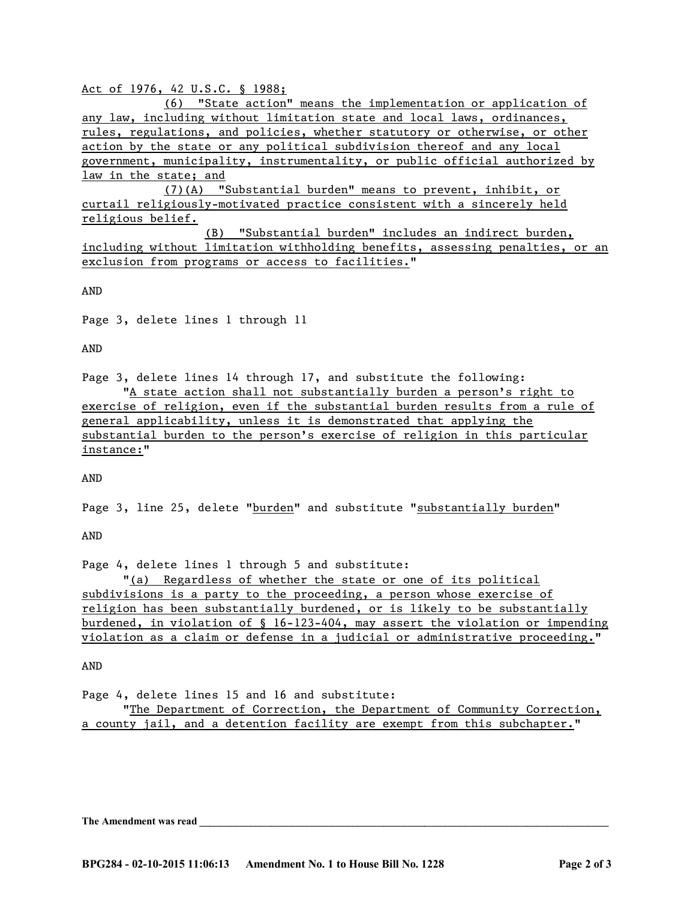Act of 1976, 42 U.S.C. § 1988;

(6) "State action" means the implementation or application of any law, including without limitation state and local laws, ordinances, rules, regulations, and policies, whether statutory or otherwise, or other action by the state or any political subdivision thereof and any local government, municipality, instrumentality, or public official authorized by law in the state; and

(7)(A) "Substantial burden" means to prevent, inhibit, or curtail religiously-motivated practice consistent with a sincerely held religious belief.

(B) "Substantial burden" includes an indirect burden, including without limitation withholding benefits, assessing penalties, or an exclusion from programs or access to facilities."

AND

Page 3, delete lines 1 through 11

AND

Page 3, delete lines 14 through 17, and substitute the following: "A state action shall not substantially burden a person's right to exercise of religion, even if the substantial burden results from a rule of general applicability, unless it is demonstrated that applying the

substantial burden to the person's exercise of religion in this particular instance:"

AND

Page 3, line 25, delete "burden" and substitute "substantially burden"

AND

Page 4, delete lines 1 through 5 and substitute:

"(a) Regardless of whether the state or one of its political subdivisions is a party to the proceeding, a person whose exercise of religion has been substantially burdened, or is likely to be substantially burdened, in violation of § 16-123-404, may assert the violation or impending violation as a claim or defense in a judicial or administrative proceeding."

AND

Page 4, delete lines 15 and 16 and substitute:

"The Department of Correction, the Department of Community Correction, a county jail, and a detention facility are exempt from this subchapter."

The Amendment was read